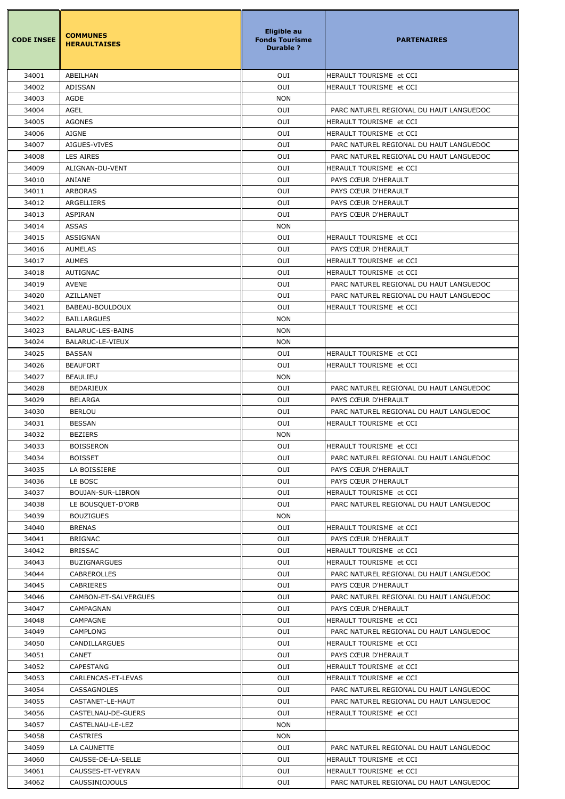| <b>CODE INSEE</b> | <b>COMMUNES</b><br><b>HERAULTAISES</b> | <b>Eligible au</b><br><b>Fonds Tourisme</b><br><b>Durable ?</b> | <b>PARTENAIRES</b>                             |
|-------------------|----------------------------------------|-----------------------------------------------------------------|------------------------------------------------|
| 34001             | ABEILHAN                               | OUI                                                             | HERAULT TOURISME et CCI                        |
| 34002             | <b>ADISSAN</b>                         | OUI                                                             | HERAULT TOURISME et CCI                        |
| 34003             | AGDE                                   | <b>NON</b>                                                      |                                                |
| 34004             | <b>AGEL</b>                            | OUI                                                             | PARC NATUREL REGIONAL DU HAUT LANGUEDOC        |
| 34005             | <b>AGONES</b>                          | OUI                                                             | HERAULT TOURISME et CCI                        |
| 34006             | <b>AIGNE</b>                           | OUI                                                             | HERAULT TOURISME et CCI                        |
| 34007             | AIGUES-VIVES                           | OUI                                                             | PARC NATUREL REGIONAL DU HAUT LANGUEDOC        |
| 34008             | <b>LES AIRES</b>                       | OUI                                                             | PARC NATUREL REGIONAL DU HAUT LANGUEDOC        |
| 34009             | ALIGNAN-DU-VENT                        | OUI                                                             | HERAULT TOURISME et CCI                        |
| 34010             | ANIANE                                 | OUI                                                             | PAYS CŒUR D'HERAULT                            |
| 34011             | <b>ARBORAS</b>                         | OUI                                                             | PAYS CŒUR D'HERAULT                            |
| 34012             | ARGELLIERS                             | OUI                                                             | PAYS CŒUR D'HERAULT                            |
| 34013             | <b>ASPIRAN</b>                         | OUI                                                             | PAYS CŒUR D'HERAULT                            |
| 34014             | <b>ASSAS</b>                           | <b>NON</b>                                                      |                                                |
| 34015             | <b>ASSIGNAN</b>                        | OUI                                                             | HERAULT TOURISME et CCI                        |
| 34016             | <b>AUMELAS</b>                         | OUI                                                             | PAYS CŒUR D'HERAULT                            |
| 34017             | <b>AUMES</b>                           | OUI                                                             | HERAULT TOURISME et CCI                        |
| 34018             | <b>AUTIGNAC</b>                        | OUI                                                             | HERAULT TOURISME et CCI                        |
| 34019             | <b>AVENE</b>                           | OUI                                                             | PARC NATUREL REGIONAL DU HAUT LANGUEDOC        |
| 34020             | <b>AZILLANET</b>                       | OUI                                                             | PARC NATUREL REGIONAL DU HAUT LANGUEDOC        |
| 34021             | BABEAU-BOULDOUX                        | OUI                                                             | HERAULT TOURISME et CCI                        |
| 34022             | <b>BAILLARGUES</b>                     | <b>NON</b>                                                      |                                                |
| 34023             | BALARUC-LES-BAINS                      | <b>NON</b>                                                      |                                                |
| 34024             | BALARUC-LE-VIEUX                       | <b>NON</b>                                                      |                                                |
| 34025             | <b>BASSAN</b>                          | OUI                                                             | HERAULT TOURISME et CCI                        |
| 34026             | <b>BEAUFORT</b>                        | OUI                                                             | HERAULT TOURISME et CCI                        |
| 34027             | <b>BEAULIEU</b>                        | <b>NON</b>                                                      |                                                |
| 34028             | <b>BEDARIEUX</b>                       | OUI                                                             | PARC NATUREL REGIONAL DU HAUT LANGUEDOC        |
| 34029             | <b>BELARGA</b>                         | OUI                                                             | PAYS CŒUR D'HERAULT                            |
| 34030             | <b>BERLOU</b>                          | OUI                                                             | PARC NATUREL REGIONAL DU HAUT LANGUEDOC        |
| 34031             | <b>BESSAN</b>                          | OUI                                                             | HERAULT TOURISME et CCI                        |
| 34032             | <b>BEZIERS</b>                         | <b>NON</b>                                                      |                                                |
| 34033             | <b>BOISSERON</b>                       | OUI                                                             | HERAULT TOURISME et CCI                        |
| 34034             | <b>BOISSET</b>                         | OUI                                                             | PARC NATUREL REGIONAL DU HAUT LANGUEDOC        |
| 34035             | LA BOISSIERE                           | OUI                                                             | PAYS CŒUR D'HERAULT                            |
| 34036             | LE BOSC                                | OUI                                                             | PAYS CŒUR D'HERAULT                            |
| 34037             | BOUJAN-SUR-LIBRON                      | OUI                                                             | HERAULT TOURISME et CCI                        |
| 34038             | LE BOUSQUET-D'ORB                      | OUI                                                             | PARC NATUREL REGIONAL DU HAUT LANGUEDOC        |
| 34039             | <b>BOUZIGUES</b>                       | <b>NON</b>                                                      |                                                |
| 34040             | <b>BRENAS</b>                          | OUI<br>OUI                                                      | HERAULT TOURISME et CCI                        |
| 34041<br>34042    | <b>BRIGNAC</b><br><b>BRISSAC</b>       | OUI                                                             | PAYS CŒUR D'HERAULT<br>HERAULT TOURISME et CCI |
| 34043             | <b>BUZIGNARGUES</b>                    | OUI                                                             | HERAULT TOURISME et CCI                        |
| 34044             | <b>CABREROLLES</b>                     | OUI                                                             | PARC NATUREL REGIONAL DU HAUT LANGUEDOC        |
| 34045             | <b>CABRIERES</b>                       | OUI                                                             | PAYS CŒUR D'HERAULT                            |
| 34046             | CAMBON-ET-SALVERGUES                   | OUI                                                             | PARC NATUREL REGIONAL DU HAUT LANGUEDOC        |
| 34047             | CAMPAGNAN                              | OUI                                                             | PAYS CŒUR D'HERAULT                            |
| 34048             | CAMPAGNE                               | OUI                                                             | HERAULT TOURISME et CCI                        |
| 34049             | <b>CAMPLONG</b>                        | OUI                                                             | PARC NATUREL REGIONAL DU HAUT LANGUEDOC        |
| 34050             | <b>CANDILLARGUES</b>                   | OUI                                                             | HERAULT TOURISME et CCI                        |
| 34051             | <b>CANET</b>                           | OUI                                                             | PAYS CŒUR D'HERAULT                            |
| 34052             | CAPESTANG                              | OUI                                                             | HERAULT TOURISME et CCI                        |
| 34053             | CARLENCAS-ET-LEVAS                     | OUI                                                             | HERAULT TOURISME et CCI                        |
| 34054             | <b>CASSAGNOLES</b>                     | OUI                                                             | PARC NATUREL REGIONAL DU HAUT LANGUEDOC        |
| 34055             | CASTANET-LE-HAUT                       | OUI                                                             | PARC NATUREL REGIONAL DU HAUT LANGUEDOC        |
| 34056             | CASTELNAU-DE-GUERS                     | OUI                                                             | HERAULT TOURISME et CCI                        |
| 34057             | CASTELNAU-LE-LEZ                       | <b>NON</b>                                                      |                                                |
| 34058             | <b>CASTRIES</b>                        | <b>NON</b>                                                      |                                                |
| 34059             | LA CAUNETTE                            | OUI                                                             | PARC NATUREL REGIONAL DU HAUT LANGUEDOC        |
| 34060             | CAUSSE-DE-LA-SELLE                     | OUI                                                             | HERAULT TOURISME et CCI                        |
| 34061             | CAUSSES-ET-VEYRAN                      | OUI                                                             | HERAULT TOURISME et CCI                        |
| 34062             | <b>CAUSSINIOJOULS</b>                  | OUI                                                             | PARC NATUREL REGIONAL DU HAUT LANGUEDOC        |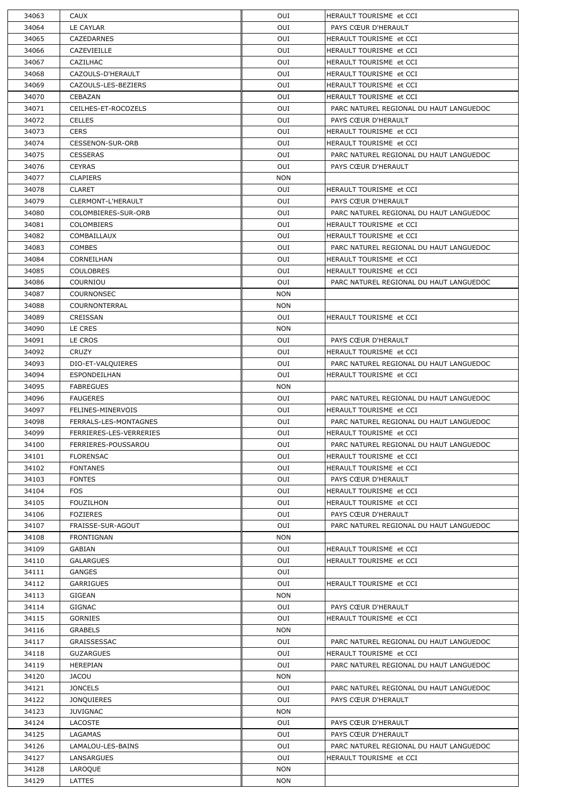| 34063 | <b>CAUX</b>             | OUI        | IHERAULT TOURISME et CCI                |
|-------|-------------------------|------------|-----------------------------------------|
| 34064 | LE CAYLAR               | OUI        | PAYS CŒUR D'HERAULT                     |
| 34065 | <b>CAZEDARNES</b>       | OUI        | HERAULT TOURISME et CCI                 |
| 34066 | CAZEVIEILLE             | OUI        | HERAULT TOURISME et CCI                 |
| 34067 | CAZILHAC                | OUI        | HERAULT TOURISME et CCI                 |
| 34068 | CAZOULS-D'HERAULT       | OUI        | HERAULT TOURISME et CCI                 |
| 34069 | CAZOULS-LES-BEZIERS     | OUI        | HERAULT TOURISME et CCI                 |
| 34070 | CEBAZAN                 | OUI        | <b>I</b> HERAULT TOURISME et CCI        |
| 34071 | CEILHES-ET-ROCOZELS     | OUI        | PARC NATUREL REGIONAL DU HAUT LANGUEDOC |
| 34072 | <b>CELLES</b>           | OUI        | PAYS CŒUR D'HERAULT                     |
| 34073 | <b>CERS</b>             | OUI        | HERAULT TOURISME et CCI                 |
| 34074 | <b>CESSENON-SUR-ORB</b> | <b>OUI</b> | <b>I</b> HERAULT TOURISME et CCI        |
| 34075 | <b>CESSERAS</b>         | OUI        | PARC NATUREL REGIONAL DU HAUT LANGUEDOC |
| 34076 | <b>CEYRAS</b>           | OUI        | PAYS CŒUR D'HERAULT                     |
| 34077 | <b>CLAPIERS</b>         | <b>NON</b> |                                         |
| 34078 | <b>CLARET</b>           | <b>OUI</b> | HERAULT TOURISME et CCI                 |
| 34079 | CLERMONT-L'HERAULT      | <b>OUI</b> | PAYS CŒUR D'HERAULT                     |
| 34080 | COLOMBIERES-SUR-ORB     | <b>OUI</b> | PARC NATUREL REGIONAL DU HAUT LANGUEDOC |
| 34081 | <b>COLOMBIERS</b>       | <b>OUI</b> | HERAULT TOURISME et CCI                 |
| 34082 | COMBAILLAUX             | <b>OUI</b> | HERAULT TOURISME et CCI                 |
| 34083 | <b>COMBES</b>           | OUI        | PARC NATUREL REGIONAL DU HAUT LANGUEDOC |
| 34084 | CORNEILHAN              | OUI        | HERAULT TOURISME et CCI                 |
| 34085 | <b>COULOBRES</b>        | OUI        | HERAULT TOURISME et CCI                 |
| 34086 | COURNIOU                | <b>OUI</b> | PARC NATUREL REGIONAL DU HAUT LANGUEDOC |
| 34087 | <b>COURNONSEC</b>       | <b>NON</b> |                                         |
| 34088 | COURNONTERRAL           | <b>NON</b> |                                         |
| 34089 | CREISSAN                | OUI        | HERAULT TOURISME et CCI                 |
| 34090 | LE CRES                 | <b>NON</b> |                                         |
| 34091 | LE CROS                 | OUI        | PAYS CŒUR D'HERAULT                     |
| 34092 | <b>CRUZY</b>            | OUI        | HERAULT TOURISME et CCI                 |
| 34093 | DIO-ET-VALQUIERES       | OUI        | PARC NATUREL REGIONAL DU HAUT LANGUEDOC |
| 34094 | ESPONDEILHAN            | OUI        | HERAULT TOURISME et CCI                 |
| 34095 | <b>FABREGUES</b>        | <b>NON</b> |                                         |
| 34096 | <b>FAUGERES</b>         | <b>OUI</b> | PARC NATUREL REGIONAL DU HAUT LANGUEDOC |
| 34097 | FELINES-MINERVOIS       | OUI        | HERAULT TOURISME et CCI                 |
| 34098 | FERRALS-LES-MONTAGNES   | <b>OUI</b> | PARC NATUREL REGIONAL DU HAUT LANGUEDOC |
| 34099 | FERRIERES-LES-VERRERIES | OUI        | HERAULT TOURISME et CCI                 |
|       | FERRIERES-POUSSAROU     | OUI        | PARC NATUREL REGIONAL DU HAUT LANGUEDOC |
| 34100 |                         | OUI        |                                         |
| 34101 | <b>FLORENSAC</b>        |            | HERAULT TOURISME et CCI                 |
| 34102 | <b>FONTANES</b>         | OUI        | HERAULT TOURISME et CCI                 |
| 34103 | <b>FONTES</b>           | OUI        | PAYS CŒUR D'HERAULT                     |
| 34104 | <b>FOS</b>              | OUI        | HERAULT TOURISME et CCI                 |
| 34105 | <b>FOUZILHON</b>        | OUI        | HERAULT TOURISME et CCI                 |
| 34106 | <b>FOZIERES</b>         | OUI        | PAYS CŒUR D'HERAULT                     |
| 34107 | FRAISSE-SUR-AGOUT       | OUI        | PARC NATUREL REGIONAL DU HAUT LANGUEDOC |
| 34108 | <b>FRONTIGNAN</b>       | <b>NON</b> |                                         |
| 34109 | <b>GABIAN</b>           | OUI        | HERAULT TOURISME et CCI                 |
| 34110 | <b>GALARGUES</b>        | OUI        | HERAULT TOURISME et CCI                 |
| 34111 | <b>GANGES</b>           | OUI        |                                         |
| 34112 | <b>GARRIGUES</b>        | OUI        | HERAULT TOURISME et CCI                 |
| 34113 | <b>GIGEAN</b>           | <b>NON</b> |                                         |
| 34114 | <b>GIGNAC</b>           | OUI        | PAYS CŒUR D'HERAULT                     |
| 34115 | <b>GORNIES</b>          | OUI        | HERAULT TOURISME et CCI                 |
| 34116 | <b>GRABELS</b>          | <b>NON</b> |                                         |
| 34117 | GRAISSESSAC             | OUI        | PARC NATUREL REGIONAL DU HAUT LANGUEDOC |
| 34118 | <b>GUZARGUES</b>        | OUI        | HERAULT TOURISME et CCI                 |
| 34119 | <b>HEREPIAN</b>         | OUI        | PARC NATUREL REGIONAL DU HAUT LANGUEDOC |
| 34120 | <b>JACOU</b>            | <b>NON</b> |                                         |
| 34121 | <b>JONCELS</b>          | OUI        | PARC NATUREL REGIONAL DU HAUT LANGUEDOC |
| 34122 | <b>JONQUIERES</b>       | OUI        | PAYS CŒUR D'HERAULT                     |
| 34123 | <b>JUVIGNAC</b>         | <b>NON</b> |                                         |
| 34124 | <b>LACOSTE</b>          | OUI        | PAYS CŒUR D'HERAULT                     |
| 34125 |                         |            | PAYS CŒUR D'HERAULT                     |
|       | LAGAMAS                 | OUI        |                                         |
| 34126 | LAMALOU-LES-BAINS       | OUI        | PARC NATUREL REGIONAL DU HAUT LANGUEDOC |
| 34127 | <b>LANSARGUES</b>       | OUI        | HERAULT TOURISME et CCI                 |
| 34128 | LAROQUE                 | <b>NON</b> |                                         |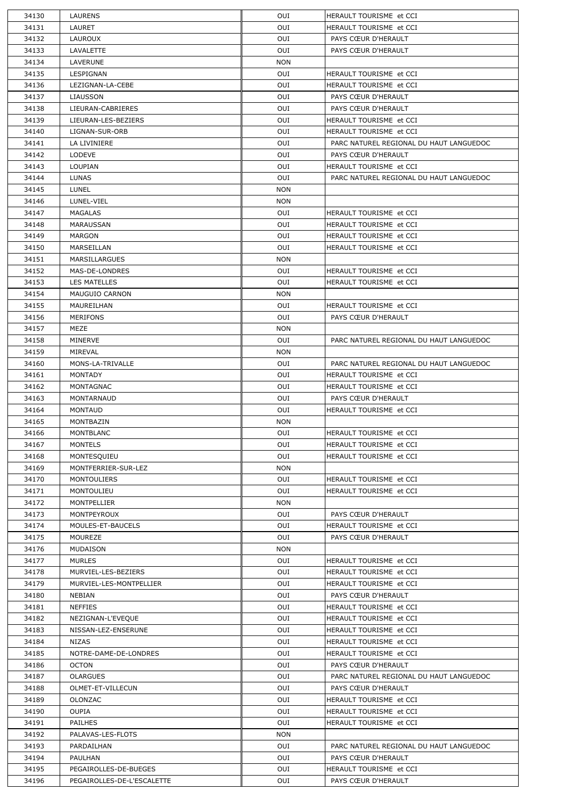| 34130 | <b>LAURENS</b>             | OUI        | HERAULT TOURISME et CCI                 |
|-------|----------------------------|------------|-----------------------------------------|
| 34131 | LAURET                     | OUI        | HERAULT TOURISME et CCI                 |
| 34132 | <b>LAUROUX</b>             | OUI        | PAYS CŒUR D'HERAULT                     |
| 34133 | LAVALETTE                  | OUI        | PAYS CŒUR D'HERAULT                     |
| 34134 | LAVERUNE                   | <b>NON</b> |                                         |
| 34135 | LESPIGNAN                  | OUI        | HERAULT TOURISME et CCI                 |
| 34136 | LEZIGNAN-LA-CEBE           | OUI        | HERAULT TOURISME et CCI                 |
| 34137 | <b>LIAUSSON</b>            | OUI        | PAYS CŒUR D'HERAULT                     |
| 34138 | LIEURAN-CABRIERES          | OUI        | PAYS CŒUR D'HERAULT                     |
| 34139 | LIEURAN-LES-BEZIERS        | OUI        | HERAULT TOURISME et CCI                 |
| 34140 | LIGNAN-SUR-ORB             | OUI        | HERAULT TOURISME et CCI                 |
| 34141 | LA LIVINIERE               | OUI        | PARC NATUREL REGIONAL DU HAUT LANGUEDOC |
| 34142 | <b>LODEVE</b>              | OUI        | PAYS CŒUR D'HERAULT                     |
| 34143 | <b>LOUPIAN</b>             | OUI        | HERAULT TOURISME et CCI                 |
| 34144 | <b>LUNAS</b>               | OUI        | PARC NATUREL REGIONAL DU HAUT LANGUEDOC |
| 34145 | LUNEL                      | <b>NON</b> |                                         |
| 34146 | LUNEL-VIEL                 | <b>NON</b> |                                         |
| 34147 | <b>MAGALAS</b>             | OUI        | HERAULT TOURISME et CCI                 |
| 34148 | MARAUSSAN                  | OUI        | HERAULT TOURISME et CCI                 |
| 34149 | <b>MARGON</b>              | OUI        | HERAULT TOURISME et CCI                 |
| 34150 | MARSEILLAN                 | OUI        | HERAULT TOURISME et CCI                 |
| 34151 | <b>MARSILLARGUES</b>       | <b>NON</b> |                                         |
| 34152 | MAS-DE-LONDRES             | OUI        | HERAULT TOURISME et CCI                 |
| 34153 | <b>LES MATELLES</b>        | OUI        | HERAULT TOURISME et CCI                 |
| 34154 | MAUGUIO CARNON             | <b>NON</b> |                                         |
| 34155 | MAUREILHAN                 | OUI        | HERAULT TOURISME et CCI                 |
| 34156 | <b>MERIFONS</b>            | OUI        | PAYS CŒUR D'HERAULT                     |
| 34157 | <b>MEZE</b>                | <b>NON</b> |                                         |
| 34158 | <b>MINERVE</b>             | OUI        | PARC NATUREL REGIONAL DU HAUT LANGUEDOC |
| 34159 | MIREVAL                    | <b>NON</b> |                                         |
| 34160 | MONS-LA-TRIVALLE           | OUI        | PARC NATUREL REGIONAL DU HAUT LANGUEDOC |
| 34161 | <b>MONTADY</b>             | OUI        | HERAULT TOURISME et CCI                 |
| 34162 | MONTAGNAC                  | OUI        | HERAULT TOURISME et CCI                 |
| 34163 | MONTARNAUD                 | OUI        | PAYS CŒUR D'HERAULT                     |
| 34164 | <b>MONTAUD</b>             | OUI        | HERAULT TOURISME et CCI                 |
| 34165 | MONTBAZIN                  | <b>NON</b> |                                         |
| 34166 | <b>MONTBLANC</b>           | OUI        | HERAULT TOURISME et CCI                 |
|       |                            |            |                                         |
| 34167 | <b>MONTELS</b>             | OUI        | HERAULT TOURISME et CCI                 |
| 34168 | MONTESQUIEU                | OUI        | HERAULT TOURISME et CCI                 |
| 34169 | MONTFERRIER-SUR-LEZ        | <b>NON</b> |                                         |
| 34170 | MONTOULIERS                | OUI        | HERAULT TOURISME et CCI                 |
| 34171 | <b>MONTOULIEU</b>          | OUI        | HERAULT TOURISME et CCI                 |
| 34172 | <b>MONTPELLIER</b>         | <b>NON</b> |                                         |
| 34173 | <b>MONTPEYROUX</b>         | OUI        | PAYS CŒUR D'HERAULT                     |
| 34174 | MOULES-ET-BAUCELS          | OUI        | HERAULT TOURISME et CCI                 |
| 34175 | <b>MOUREZE</b>             | OUI        | PAYS CŒUR D'HERAULT                     |
| 34176 | <b>MUDAISON</b>            | <b>NON</b> |                                         |
| 34177 | <b>MURLES</b>              | OUI        | HERAULT TOURISME et CCI                 |
| 34178 | MURVIEL-LES-BEZIERS        | OUI        | HERAULT TOURISME et CCI                 |
| 34179 | MURVIEL-LES-MONTPELLIER    | OUI        | HERAULT TOURISME et CCI                 |
| 34180 | <b>NEBIAN</b>              | OUI        | PAYS CŒUR D'HERAULT                     |
| 34181 | <b>NEFFIES</b>             | OUI        | HERAULT TOURISME et CCI                 |
| 34182 | NEZIGNAN-L'EVEQUE          | OUI        | HERAULT TOURISME et CCI                 |
| 34183 | NISSAN-LEZ-ENSERUNE        | OUI        | HERAULT TOURISME et CCI                 |
| 34184 | <b>NIZAS</b>               | OUI        | HERAULT TOURISME et CCI                 |
| 34185 | NOTRE-DAME-DE-LONDRES      | OUI        | HERAULT TOURISME et CCI                 |
| 34186 | <b>OCTON</b>               | OUI        | PAYS CŒUR D'HERAULT                     |
| 34187 | <b>OLARGUES</b>            | OUI        | PARC NATUREL REGIONAL DU HAUT LANGUEDOC |
| 34188 | OLMET-ET-VILLECUN          | OUI        | PAYS CŒUR D'HERAULT                     |
| 34189 | <b>OLONZAC</b>             | OUI        | HERAULT TOURISME et CCI                 |
| 34190 | <b>OUPIA</b>               | OUI        | HERAULT TOURISME et CCI                 |
| 34191 | <b>PAILHES</b>             | OUI        | HERAULT TOURISME et CCI                 |
| 34192 | PALAVAS-LES-FLOTS          | <b>NON</b> |                                         |
| 34193 | PARDAILHAN                 | OUI        | PARC NATUREL REGIONAL DU HAUT LANGUEDOC |
| 34194 | <b>PAULHAN</b>             | OUI        | PAYS CŒUR D'HERAULT                     |
| 34195 | PEGAIROLLES-DE-BUEGES      | OUI        | HERAULT TOURISME et CCI                 |
| 34196 | PEGAIROLLES-DE-L'ESCALETTE | OUI        | PAYS CŒUR D'HERAULT                     |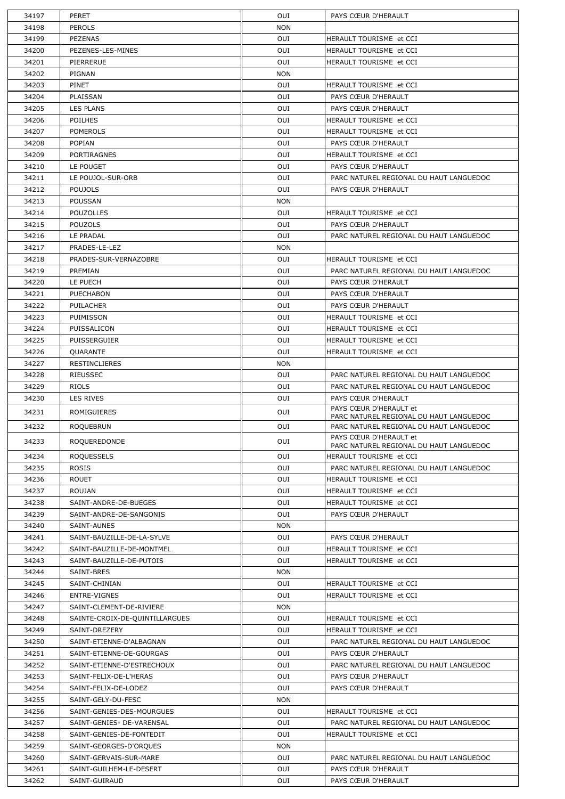| 34197 | <b>PERET</b>                   | OUI        | PAYS CŒUR D'HERAULT                                               |
|-------|--------------------------------|------------|-------------------------------------------------------------------|
| 34198 | <b>PEROLS</b>                  | <b>NON</b> |                                                                   |
| 34199 | <b>PEZENAS</b>                 | OUI        | HERAULT TOURISME et CCI                                           |
| 34200 | PEZENES-LES-MINES              | OUI        | HERAULT TOURISME et CCI                                           |
| 34201 | PIERRERUE                      | OUI        | HERAULT TOURISME et CCI                                           |
| 34202 | PIGNAN                         | <b>NON</b> |                                                                   |
| 34203 | <b>PINET</b>                   | OUI        | HERAULT TOURISME et CCI                                           |
| 34204 | PLAISSAN                       | OUI        | PAYS CŒUR D'HERAULT                                               |
| 34205 | <b>LES PLANS</b>               | OUI        | PAYS CŒUR D'HERAULT                                               |
| 34206 | <b>POILHES</b>                 | OUI        | HERAULT TOURISME et CCI                                           |
| 34207 | <b>POMEROLS</b>                | OUI        | HERAULT TOURISME et CCI                                           |
| 34208 | <b>POPIAN</b>                  | OUI        | PAYS CŒUR D'HERAULT                                               |
| 34209 | <b>PORTIRAGNES</b>             | OUI        | HERAULT TOURISME et CCI                                           |
| 34210 | LE POUGET                      | OUI        | PAYS CŒUR D'HERAULT                                               |
| 34211 | LE POUJOL-SUR-ORB              | OUI        | PARC NATUREL REGIONAL DU HAUT LANGUEDOC                           |
| 34212 | <b>POUJOLS</b>                 | OUI        | PAYS CŒUR D'HERAULT                                               |
| 34213 | <b>POUSSAN</b>                 | <b>NON</b> |                                                                   |
| 34214 | <b>POUZOLLES</b>               | OUI        | HERAULT TOURISME et CCI                                           |
|       |                                | OUI        |                                                                   |
| 34215 | <b>POUZOLS</b>                 | OUI        | PAYS CŒUR D'HERAULT                                               |
| 34216 | LE PRADAL                      |            | PARC NATUREL REGIONAL DU HAUT LANGUEDOC                           |
| 34217 | PRADES-LE-LEZ                  | <b>NON</b> |                                                                   |
| 34218 | PRADES-SUR-VERNAZOBRE          | OUI        | <b>HERAULT TOURISME et CCI</b>                                    |
| 34219 | PREMIAN                        | OUI        | PARC NATUREL REGIONAL DU HAUT LANGUEDOC                           |
| 34220 | LE PUECH                       | OUI        | PAYS CŒUR D'HERAULT                                               |
| 34221 | <b>PUECHABON</b>               | OUI        | PAYS CŒUR D'HERAULT                                               |
| 34222 | <b>PUILACHER</b>               | OUI        | PAYS CŒUR D'HERAULT                                               |
| 34223 | PUIMISSON                      | OUI        | HERAULT TOURISME et CCI                                           |
| 34224 | PUISSALICON                    | OUI        | HERAULT TOURISME et CCI                                           |
| 34225 | <b>PUISSERGUIER</b>            | OUI        | HERAULT TOURISME et CCI                                           |
| 34226 | QUARANTE                       | OUI        | <b>HERAULT TOURISME et CCI</b>                                    |
| 34227 | <b>RESTINCLIERES</b>           | <b>NON</b> |                                                                   |
| 34228 | <b>RIEUSSEC</b>                | OUI        | PARC NATUREL REGIONAL DU HAUT LANGUEDOC                           |
| 34229 | <b>RIOLS</b>                   | OUI        | PARC NATUREL REGIONAL DU HAUT LANGUEDOC                           |
| 34230 | LES RIVES                      | OUI        | PAYS CŒUR D'HERAULT<br>PAYS CŒUR D'HERAULT et                     |
| 34231 | <b>ROMIGUIERES</b>             | OUI        | PARC NATUREL REGIONAL DU HAUT LANGUEDOC                           |
| 34232 | <b>ROQUEBRUN</b>               | OUI        | PARC NATUREL REGIONAL DU HAUT LANGUEDOC                           |
| 34233 | <b>ROQUEREDONDE</b>            | OUI        | PAYS CŒUR D'HERAULT et<br>PARC NATUREL REGIONAL DU HAUT LANGUEDOC |
| 34234 | <b>ROQUESSELS</b>              | OUI        | HERAULT TOURISME et CCI                                           |
| 34235 | <b>ROSIS</b>                   | OUI        | PARC NATUREL REGIONAL DU HAUT LANGUEDOC                           |
| 34236 | <b>ROUET</b>                   | OUI        | HERAULT TOURISME et CCI                                           |
| 34237 | <b>ROUJAN</b>                  | OUI        | HERAULT TOURISME et CCI                                           |
| 34238 | SAINT-ANDRE-DE-BUEGES          | OUI        | HERAULT TOURISME et CCI                                           |
| 34239 | SAINT-ANDRE-DE-SANGONIS        | OUI        | PAYS CŒUR D'HERAULT                                               |
| 34240 | SAINT-AUNES                    | <b>NON</b> |                                                                   |
| 34241 | SAINT-BAUZILLE-DE-LA-SYLVE     | OUI        | PAYS CŒUR D'HERAULT                                               |
| 34242 | SAINT-BAUZILLE-DE-MONTMEL      | OUI        | HERAULT TOURISME et CCI                                           |
| 34243 | SAINT-BAUZILLE-DE-PUTOIS       | OUI        | HERAULT TOURISME et CCI                                           |
| 34244 | SAINT-BRES                     | <b>NON</b> |                                                                   |
| 34245 | SAINT-CHINIAN                  | OUI        | HERAULT TOURISME et CCI                                           |
| 34246 | ENTRE-VIGNES                   | OUI        | HERAULT TOURISME et CCI                                           |
| 34247 | SAINT-CLEMENT-DE-RIVIERE       | <b>NON</b> |                                                                   |
| 34248 | SAINTE-CROIX-DE-QUINTILLARGUES | OUI        | HERAULT TOURISME et CCI                                           |
| 34249 | SAINT-DREZERY                  | OUI        | HERAULT TOURISME et CCI                                           |
| 34250 | SAINT-ETIENNE-D'ALBAGNAN       | OUI        | PARC NATUREL REGIONAL DU HAUT LANGUEDOC                           |
| 34251 | SAINT-ETIENNE-DE-GOURGAS       | OUI        | PAYS CŒUR D'HERAULT                                               |
| 34252 | SAINT-ETIENNE-D'ESTRECHOUX     | OUI        | PARC NATUREL REGIONAL DU HAUT LANGUEDOC                           |
| 34253 | SAINT-FELIX-DE-L'HERAS         | OUI        | PAYS CŒUR D'HERAULT                                               |
| 34254 | SAINT-FELIX-DE-LODEZ           | OUI        | PAYS CŒUR D'HERAULT                                               |
| 34255 | SAINT-GELY-DU-FESC             | <b>NON</b> |                                                                   |
| 34256 | SAINT-GENIES-DES-MOURGUES      | OUI        | HERAULT TOURISME et CCI                                           |
| 34257 | SAINT-GENIES- DE-VARENSAL      | OUI        | PARC NATUREL REGIONAL DU HAUT LANGUEDOC                           |
| 34258 | SAINT-GENIES-DE-FONTEDIT       | OUI        | HERAULT TOURISME et CCI                                           |
| 34259 | SAINT-GEORGES-D'ORQUES         | <b>NON</b> |                                                                   |
| 34260 | SAINT-GERVAIS-SUR-MARE         | OUI        | PARC NATUREL REGIONAL DU HAUT LANGUEDOC                           |
| 34261 | SAINT-GUILHEM-LE-DESERT        | OUI        | PAYS CŒUR D'HERAULT                                               |
| 34262 | SAINT-GUIRAUD                  | OUI        | PAYS CŒUR D'HERAULT                                               |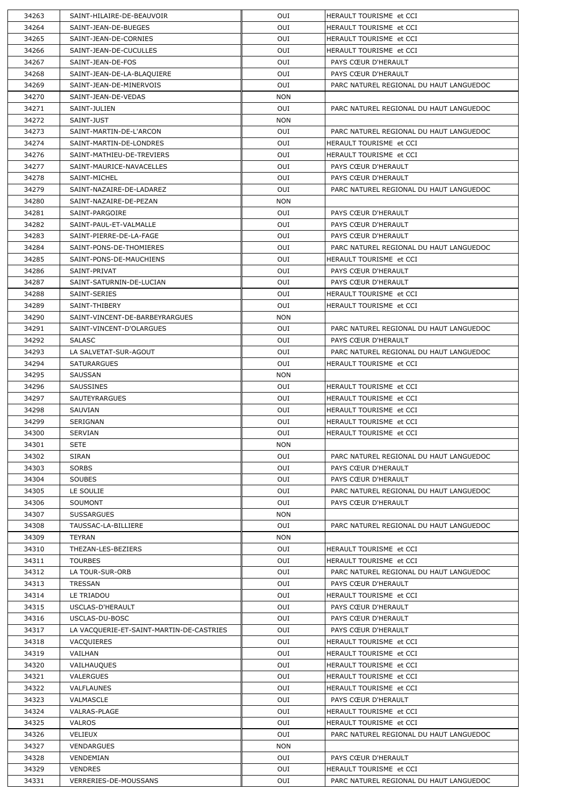| 34263 | SAINT-HILAIRE-DE-BEAUVOIR                | OUI        | <b>HERAULT TOURISME et CCI</b>          |
|-------|------------------------------------------|------------|-----------------------------------------|
| 34264 | SAINT-JEAN-DE-BUEGES                     | OUI        | HERAULT TOURISME et CCI                 |
| 34265 | SAINT-JEAN-DE-CORNIES                    | OUI        | HERAULT TOURISME et CCI                 |
| 34266 | SAINT-JEAN-DE-CUCULLES                   | OUI        | HERAULT TOURISME et CCI                 |
| 34267 | SAINT-JEAN-DE-FOS                        | OUI        | PAYS CŒUR D'HERAULT                     |
| 34268 | SAINT-JEAN-DE-LA-BLAQUIERE               | OUI        | PAYS CŒUR D'HERAULT                     |
| 34269 | SAINT-JEAN-DE-MINERVOIS                  | <b>OUI</b> | PARC NATUREL REGIONAL DU HAUT LANGUEDOC |
| 34270 | SAINT-JEAN-DE-VEDAS                      | <b>NON</b> |                                         |
| 34271 | SAINT-JULIEN                             | OUI        | PARC NATUREL REGIONAL DU HAUT LANGUEDOC |
| 34272 | SAINT-JUST                               | <b>NON</b> |                                         |
| 34273 | SAINT-MARTIN-DE-L'ARCON                  | OUI        | PARC NATUREL REGIONAL DU HAUT LANGUEDOC |
| 34274 | SAINT-MARTIN-DE-LONDRES                  | OUI        | HERAULT TOURISME et CCI                 |
| 34276 | SAINT-MATHIEU-DE-TREVIERS                | OUI        | <b>HERAULT TOURISME et CCI</b>          |
| 34277 | SAINT-MAURICE-NAVACELLES                 | OUI        | PAYS CŒUR D'HERAULT                     |
| 34278 | SAINT-MICHEL                             | <b>OUI</b> | PAYS CŒUR D'HERAULT                     |
| 34279 | SAINT-NAZAIRE-DE-LADAREZ                 | OUI        | PARC NATUREL REGIONAL DU HAUT LANGUEDOC |
| 34280 | SAINT-NAZAIRE-DE-PEZAN                   | <b>NON</b> |                                         |
| 34281 | SAINT-PARGOIRE                           | OUI        | PAYS CŒUR D'HERAULT                     |
| 34282 | SAINT-PAUL-ET-VALMALLE                   | OUI        | PAYS CŒUR D'HERAULT                     |
| 34283 | SAINT-PIERRE-DE-LA-FAGE                  | OUI        | PAYS CŒUR D'HERAULT                     |
| 34284 | SAINT-PONS-DE-THOMIERES                  | <b>OUI</b> | PARC NATUREL REGIONAL DU HAUT LANGUEDOC |
| 34285 | SAINT-PONS-DE-MAUCHIENS                  | OUI        | HERAULT TOURISME et CCI                 |
| 34286 | SAINT-PRIVAT                             | <b>OUI</b> | PAYS CŒUR D'HERAULT                     |
| 34287 | SAINT-SATURNIN-DE-LUCIAN                 | OUI        | PAYS CŒUR D'HERAULT                     |
| 34288 | <b>SAINT-SERIES</b>                      | OUI        | HERAULT TOURISME et CCI                 |
| 34289 | SAINT-THIBERY                            | OUI        | <b>HERAULT TOURISME et CCI</b>          |
| 34290 | SAINT-VINCENT-DE-BARBEYRARGUES           | <b>NON</b> |                                         |
| 34291 | SAINT-VINCENT-D'OLARGUES                 | OUI        | PARC NATUREL REGIONAL DU HAUT LANGUEDOC |
| 34292 | <b>SALASC</b>                            | <b>OUI</b> | PAYS CŒUR D'HERAULT                     |
| 34293 | LA SALVETAT-SUR-AGOUT                    | OUI        | PARC NATUREL REGIONAL DU HAUT LANGUEDOC |
| 34294 | <b>SATURARGUES</b>                       | OUI        | HERAULT TOURISME et CCI                 |
| 34295 | <b>SAUSSAN</b>                           | <b>NON</b> |                                         |
| 34296 | <b>SAUSSINES</b>                         | <b>OUI</b> | HERAULT TOURISME et CCI                 |
| 34297 | <b>SAUTEYRARGUES</b>                     | OUI        | HERAULT TOURISME et CCI                 |
| 34298 | SAUVIAN                                  | OUI        | HERAULT TOURISME et CCI                 |
| 34299 | SERIGNAN                                 | OUI        | HERAULT TOURISME et CCI                 |
| 34300 | <b>SERVIAN</b>                           | OUI        | HERAULT TOURISME et CCI                 |
| 34301 | <b>SETE</b>                              | <b>NON</b> |                                         |
| 34302 | <b>SIRAN</b>                             | OUI        | PARC NATUREL REGIONAL DU HAUT LANGUEDOC |
|       |                                          |            |                                         |
| 34303 | <b>SORBS</b>                             | <b>OUI</b> | PAYS CŒUR D'HERAULT                     |
| 34304 | <b>SOUBES</b>                            | OUI        | PAYS CŒUR D'HERAULT                     |
| 34305 | LE SOULIE                                | OUI        | PARC NATUREL REGIONAL DU HAUT LANGUEDOC |
| 34306 | <b>SOUMONT</b>                           | OUI        | PAYS CŒUR D'HERAULT                     |
| 34307 | <b>SUSSARGUES</b>                        | <b>NON</b> |                                         |
| 34308 | TAUSSAC-LA-BILLIERE                      | OUI        | PARC NATUREL REGIONAL DU HAUT LANGUEDOC |
| 34309 | TEYRAN                                   | <b>NON</b> |                                         |
| 34310 | THEZAN-LES-BEZIERS                       | OUI        | HERAULT TOURISME et CCI                 |
| 34311 | <b>TOURBES</b>                           | OUI        | <b>HERAULT TOURISME et CCI</b>          |
| 34312 | LA TOUR-SUR-ORB                          | <b>OUI</b> | PARC NATUREL REGIONAL DU HAUT LANGUEDOC |
| 34313 | <b>TRESSAN</b>                           | <b>OUI</b> | PAYS CŒUR D'HERAULT                     |
| 34314 | LE TRIADOU                               | OUI        | HERAULT TOURISME et CCI                 |
| 34315 | USCLAS-D'HERAULT                         | OUI        | PAYS CŒUR D'HERAULT                     |
| 34316 | USCLAS-DU-BOSC                           | OUI        | PAYS CŒUR D'HERAULT                     |
| 34317 | LA VACQUERIE-ET-SAINT-MARTIN-DE-CASTRIES | OUI        | PAYS CŒUR D'HERAULT                     |
| 34318 | VACQUIERES                               | OUI        | HERAULT TOURISME et CCI                 |
| 34319 | VAILHAN                                  | OUI        | HERAULT TOURISME et CCI                 |
| 34320 | VAILHAUQUES                              | OUI        | HERAULT TOURISME et CCI                 |
| 34321 | <b>VALERGUES</b>                         | OUI        | HERAULT TOURISME et CCI                 |
| 34322 | <b>VALFLAUNES</b>                        | OUI        | HERAULT TOURISME et CCI                 |
| 34323 | VALMASCLE                                | OUI        | PAYS CŒUR D'HERAULT                     |
| 34324 | <b>VALRAS-PLAGE</b>                      | OUI        | HERAULT TOURISME et CCI                 |
| 34325 | <b>VALROS</b>                            | OUI        | HERAULT TOURISME et CCI                 |
| 34326 | <b>VELIEUX</b>                           | OUI        | PARC NATUREL REGIONAL DU HAUT LANGUEDOC |
| 34327 | <b>VENDARGUES</b>                        | <b>NON</b> |                                         |
| 34328 | VENDEMIAN                                | OUI        | PAYS CŒUR D'HERAULT                     |
| 34329 | <b>VENDRES</b>                           | OUI        | HERAULT TOURISME et CCI                 |